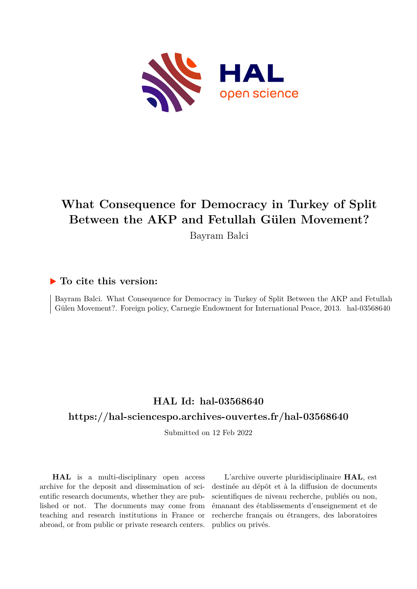

## **What Consequence for Democracy in Turkey of Split Between the AKP and Fetullah Gülen Movement?**

Bayram Balci

#### **To cite this version:**

Bayram Balci. What Consequence for Democracy in Turkey of Split Between the AKP and Fetullah Gülen Movement?. Foreign policy, Carnegie Endowment for International Peace, 2013. hal-03568640

### **HAL Id: hal-03568640**

#### **<https://hal-sciencespo.archives-ouvertes.fr/hal-03568640>**

Submitted on 12 Feb 2022

**HAL** is a multi-disciplinary open access archive for the deposit and dissemination of scientific research documents, whether they are published or not. The documents may come from teaching and research institutions in France or abroad, or from public or private research centers.

L'archive ouverte pluridisciplinaire **HAL**, est destinée au dépôt et à la diffusion de documents scientifiques de niveau recherche, publiés ou non, émanant des établissements d'enseignement et de recherche français ou étrangers, des laboratoires publics ou privés.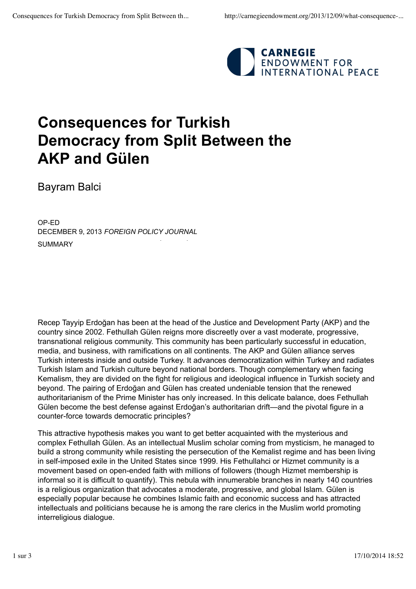

# **Consequences for Turkish Democracy from Split Between the AKP and Gülen**

Bayram Balci

SUMMARY OP-ED DECEMBER 9, 2013 *FOREIGN POLICY JOURNAL* 

Recep Tayyip Erdoğan has been at the head of the Justice and Development Party (AKP) and the country since 2002. Fethullah Gülen reigns more discreetly over a vast moderate, progressive, transnational religious community. This community has been particularly successful in education, media, and business, with ramifications on all continents. The AKP and Gülen alliance serves Turkish interests inside and outside Turkey. It advances democratization within Turkey and radiates Turkish Islam and Turkish culture beyond national borders. Though complementary when facing Kemalism, they are divided on the fight for religious and ideological influence in Turkish society and beyond. The pairing of Erdoğan and Gülen has created undeniable tension that the renewed authoritarianism of the Prime Minister has only increased. In this delicate balance, does Fethullah Gülen become the best defense against Erdoğan's authoritarian drift—and the pivotal figure in a counter-force towards democratic principles?

This attractive hypothesis makes you want to get better acquainted with the mysterious and complex Fethullah Gülen. As an intellectual Muslim scholar coming from mysticism, he managed to build a strong community while resisting the persecution of the Kemalist regime and has been living in self-imposed exile in the United States since 1999. His Fethullahci or Hizmet community is a movement based on open-ended faith with millions of followers (though Hizmet membership is informal so it is difficult to quantify). This nebula with innumerable branches in nearly 140 countries is a religious organization that advocates a moderate, progressive, and global Islam. Gülen is especially popular because he combines Islamic faith and economic success and has attracted intellectuals and politicians because he is among the rare clerics in the Muslim world promoting interreligious dialogue.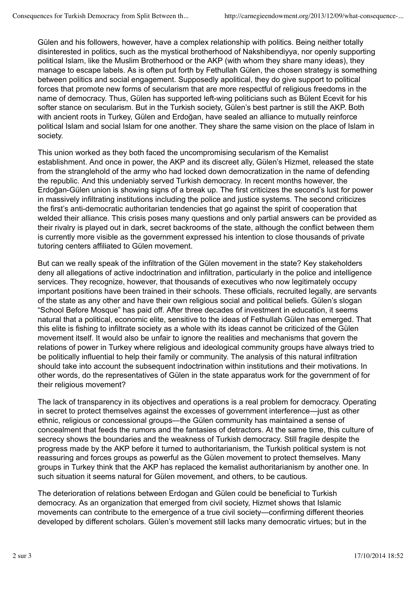Gülen and his followers, however, have a complex relationship with politics. Being neither totally disinterested in politics, such as the mystical brotherhood of Nakshibendiyya, nor openly supporting political Islam, like the Muslim Brotherhood or the AKP (with whom they share many ideas), they manage to escape labels. As is often put forth by Fethullah Gülen, the chosen strategy is something between politics and social engagement. Supposedly apolitical, they do give support to political forces that promote new forms of secularism that are more respectful of religious freedoms in the name of democracy. Thus, Gülen has supported left-wing politicians such as Bülent Ecevit for his softer stance on secularism. But in the Turkish society, Gülen's best partner is still the AKP. Both with ancient roots in Turkey, Gülen and Erdoğan, have sealed an alliance to mutually reinforce political Islam and social Islam for one another. They share the same vision on the place of Islam in society.

This union worked as they both faced the uncompromising secularism of the Kemalist establishment. And once in power, the AKP and its discreet ally, Gülen's Hizmet, released the state from the stranglehold of the army who had locked down democratization in the name of defending the republic. And this undeniably served Turkish democracy. In recent months however, the Erdoğan-Gülen union is showing signs of a break up. The first criticizes the second's lust for power in massively infiltrating institutions including the police and justice systems. The second criticizes the first's anti-democratic authoritarian tendencies that go against the spirit of cooperation that welded their alliance. This crisis poses many questions and only partial answers can be provided as their rivalry is played out in dark, secret backrooms of the state, although the conflict between them is currently more visible as the government expressed his intention to close thousands of private tutoring centers affiliated to Gülen movement.

But can we really speak of the infiltration of the Gülen movement in the state? Key stakeholders deny all allegations of active indoctrination and infiltration, particularly in the police and intelligence services. They recognize, however, that thousands of executives who now legitimately occupy important positions have been trained in their schools. These officials, recruited legally, are servants of the state as any other and have their own religious social and political beliefs. Gülen's slogan "School Before Mosque" has paid off. After three decades of investment in education, it seems natural that a political, economic elite, sensitive to the ideas of Fethullah Gülen has emerged. That this elite is fishing to infiltrate society as a whole with its ideas cannot be criticized of the Gülen movement itself. It would also be unfair to ignore the realities and mechanisms that govern the relations of power in Turkey where religious and ideological community groups have always tried to be politically influential to help their family or community. The analysis of this natural infiltration should take into account the subsequent indoctrination within institutions and their motivations. In other words, do the representatives of Gülen in the state apparatus work for the government of for their religious movement?

The lack of transparency in its objectives and operations is a real problem for democracy. Operating in secret to protect themselves against the excesses of government interference—just as other ethnic, religious or concessional groups—the Gülen community has maintained a sense of concealment that feeds the rumors and the fantasies of detractors. At the same time, this culture of secrecy shows the boundaries and the weakness of Turkish democracy. Still fragile despite the progress made by the AKP before it turned to authoritarianism, the Turkish political system is not reassuring and forces groups as powerful as the Gülen movement to protect themselves. Many groups in Turkey think that the AKP has replaced the kemalist authoritarianism by another one. In such situation it seems natural for Gülen movement, and others, to be cautious.

The deterioration of relations between Erdogan and Gülen could be beneficial to Turkish democracy. As an organization that emerged from civil society, Hizmet shows that Islamic movements can contribute to the emergence of a true civil society—confirming different theories developed by different scholars. Gülen's movement still lacks many democratic virtues; but in the